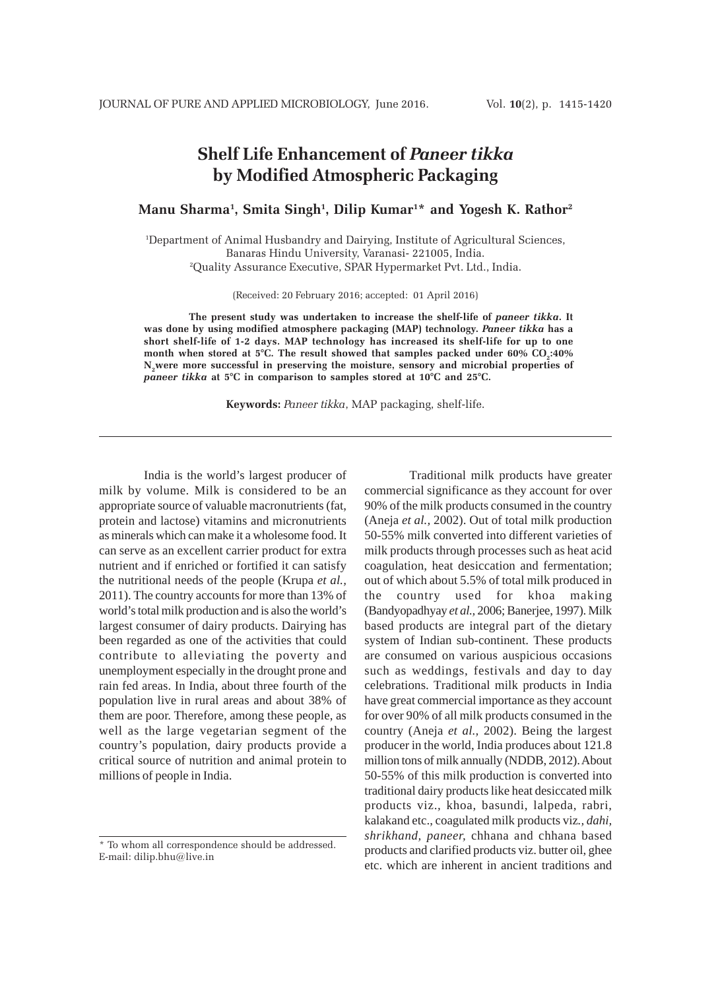# **Shelf Life Enhancement of** *Paneer tikka* **by Modified Atmospheric Packaging**

**Manu Sharma1 , Smita Singh1 , Dilip Kumar1 \* and Yogesh K. Rathor2**

1 Department of Animal Husbandry and Dairying, Institute of Agricultural Sciences, Banaras Hindu University, Varanasi- 221005, India. 2 Quality Assurance Executive, SPAR Hypermarket Pvt. Ltd., India.

(Received: 20 February 2016; accepted: 01 April 2016)

**The present study was undertaken to increase the shelf-life of** *paneer tikka***. It was done by using modified atmosphere packaging (MAP) technology.** *Paneer tikka* **has a short shelf-life of 1-2 days. MAP technology has increased its shelf-life for up to one** month when stored at 5°C. The result showed that samples packed under 60% CO<sub>2</sub>:40% **N2were more successful in preserving the moisture, sensory and microbial properties of** *paneer tikka* **at 5°C in comparison to samples stored at 10°C and 25°C.**

**Keywords:** *Paneer tikka*, MAP packaging, shelf-life.

India is the world's largest producer of milk by volume. Milk is considered to be an appropriate source of valuable macronutrients (fat, protein and lactose) vitamins and micronutrients as minerals which can make it a wholesome food. It can serve as an excellent carrier product for extra nutrient and if enriched or fortified it can satisfy the nutritional needs of the people (Krupa *et al.,* 2011). The country accounts for more than 13% of world's total milk production and is also the world's largest consumer of dairy products. Dairying has been regarded as one of the activities that could contribute to alleviating the poverty and unemployment especially in the drought prone and rain fed areas. In India, about three fourth of the population live in rural areas and about 38% of them are poor. Therefore, among these people, as well as the large vegetarian segment of the country's population, dairy products provide a critical source of nutrition and animal protein to millions of people in India.

Traditional milk products have greater commercial significance as they account for over 90% of the milk products consumed in the country (Aneja *et al.,* 2002). Out of total milk production 50-55% milk converted into different varieties of milk products through processes such as heat acid coagulation, heat desiccation and fermentation; out of which about 5.5% of total milk produced in the country used for khoa making (Bandyopadhyay *et al.,* 2006; Banerjee, 1997). Milk based products are integral part of the dietary system of Indian sub-continent. These products are consumed on various auspicious occasions such as weddings, festivals and day to day celebrations. Traditional milk products in India have great commercial importance as they account for over 90% of all milk products consumed in the country (Aneja *et al.,* 2002). Being the largest producer in the world, India produces about 121.8 million tons of milk annually (NDDB, 2012). About 50-55% of this milk production is converted into traditional dairy products like heat desiccated milk products viz.*,* khoa, basundi, lalpeda, rabri, kalakand etc., coagulated milk products viz*., dahi, shrikhand, paneer,* chhana and chhana based products and clarified products viz. butter oil, ghee etc. which are inherent in ancient traditions and

<sup>\*</sup> To whom all correspondence should be addressed. E-mail: dilip.bhu@live.in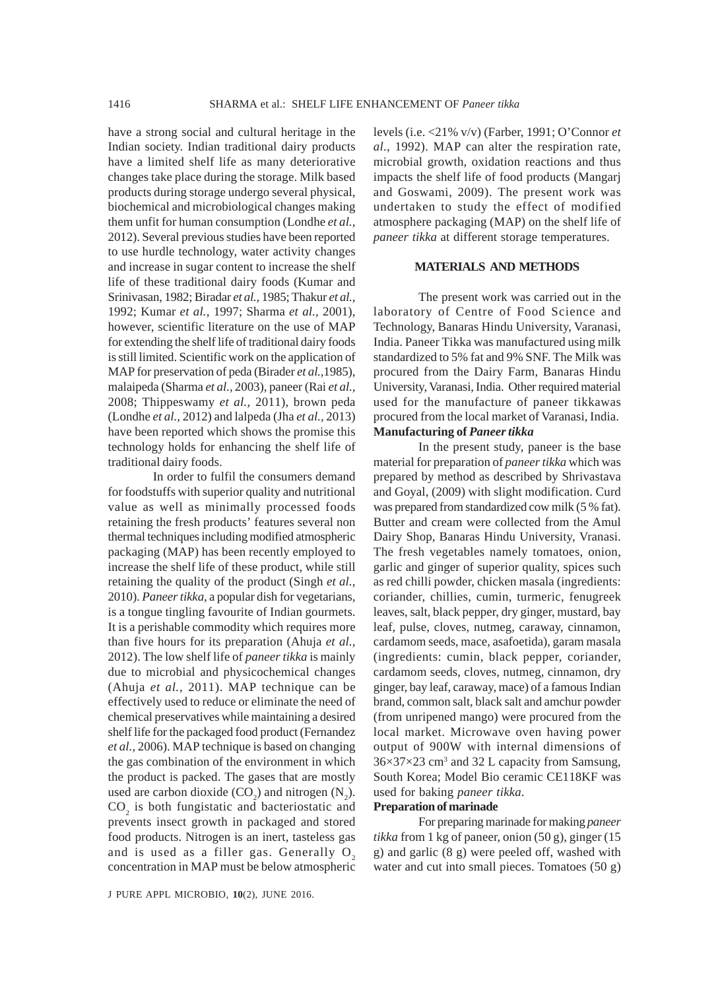have a strong social and cultural heritage in the Indian society. Indian traditional dairy products have a limited shelf life as many deteriorative changes take place during the storage. Milk based products during storage undergo several physical, biochemical and microbiological changes making them unfit for human consumption (Londhe *et al.,* 2012). Several previous studies have been reported to use hurdle technology, water activity changes and increase in sugar content to increase the shelf life of these traditional dairy foods (Kumar and Srinivasan, 1982; Biradar *et al.,* 1985; Thakur *et al.,* 1992; Kumar *et al.,* 1997; Sharma *et al.,* 2001), however, scientific literature on the use of MAP for extending the shelf life of traditional dairy foods is still limited. Scientific work on the application of MAP for preservation of peda (Birader *et al.,*1985), malaipeda (Sharma *et al.,* 2003), paneer (Rai *et al.,* 2008; Thippeswamy *et al.,* 2011), brown peda (Londhe *et al.,* 2012) and lalpeda (Jha *et al.,* 2013) have been reported which shows the promise this technology holds for enhancing the shelf life of traditional dairy foods.

In order to fulfil the consumers demand for foodstuffs with superior quality and nutritional value as well as minimally processed foods retaining the fresh products' features several non thermal techniques including modified atmospheric packaging (MAP) has been recently employed to increase the shelf life of these product, while still retaining the quality of the product (Singh *et al.,* 2010). *Paneer tikka,* a popular dish for vegetarians, is a tongue tingling favourite of Indian gourmets. It is a perishable commodity which requires more than five hours for its preparation (Ahuja *et al.,* 2012). The low shelf life of *paneer tikka* is mainly due to microbial and physicochemical changes (Ahuja *et al.,* 2011). MAP technique can be effectively used to reduce or eliminate the need of chemical preservatives while maintaining a desired shelf life for the packaged food product (Fernandez *et al.,* 2006). MAP technique is based on changing the gas combination of the environment in which the product is packed. The gases that are mostly used are carbon dioxide  $(CO_2)$  and nitrogen  $(N_2)$ .  $CO<sub>2</sub>$  is both fungistatic and bacteriostatic and prevents insect growth in packaged and stored food products. Nitrogen is an inert, tasteless gas and is used as a filler gas. Generally  $O<sub>2</sub>$ concentration in MAP must be below atmospheric levels (i.e. <21% v/v) (Farber, 1991; O'Connor *et al*., 1992). MAP can alter the respiration rate, microbial growth, oxidation reactions and thus impacts the shelf life of food products (Mangarj and Goswami, 2009). The present work was undertaken to study the effect of modified atmosphere packaging (MAP) on the shelf life of *paneer tikka* at different storage temperatures.

# **MATERIALS AND METHODS**

The present work was carried out in the laboratory of Centre of Food Science and Technology, Banaras Hindu University, Varanasi, India. Paneer Tikka was manufactured using milk standardized to 5% fat and 9% SNF. The Milk was procured from the Dairy Farm, Banaras Hindu University, Varanasi, India. Other required material used for the manufacture of paneer tikkawas procured from the local market of Varanasi, India. **Manufacturing of** *Paneer tikka*

In the present study, paneer is the base material for preparation of *paneer tikka* which was prepared by method as described by Shrivastava and Goyal, (2009) with slight modification. Curd was prepared from standardized cow milk (5 % fat). Butter and cream were collected from the Amul Dairy Shop, Banaras Hindu University, Vranasi. The fresh vegetables namely tomatoes, onion, garlic and ginger of superior quality, spices such as red chilli powder, chicken masala (ingredients: coriander, chillies, cumin, turmeric, fenugreek leaves, salt, black pepper, dry ginger, mustard, bay leaf, pulse, cloves, nutmeg, caraway, cinnamon, cardamom seeds, mace, asafoetida), garam masala (ingredients: cumin, black pepper, coriander, cardamom seeds, cloves, nutmeg, cinnamon, dry ginger, bay leaf, caraway, mace) of a famous Indian brand, common salt, black salt and amchur powder (from unripened mango) were procured from the local market. Microwave oven having power output of 900W with internal dimensions of 36×37×23 cm<sup>3</sup> and 32 L capacity from Samsung, South Korea; Model Bio ceramic CE118KF was used for baking *paneer tikka*.

## **Preparation of marinade**

For preparing marinade for making *paneer tikka* from 1 kg of paneer, onion (50 g), ginger (15 g) and garlic (8 g) were peeled off, washed with water and cut into small pieces. Tomatoes (50 g)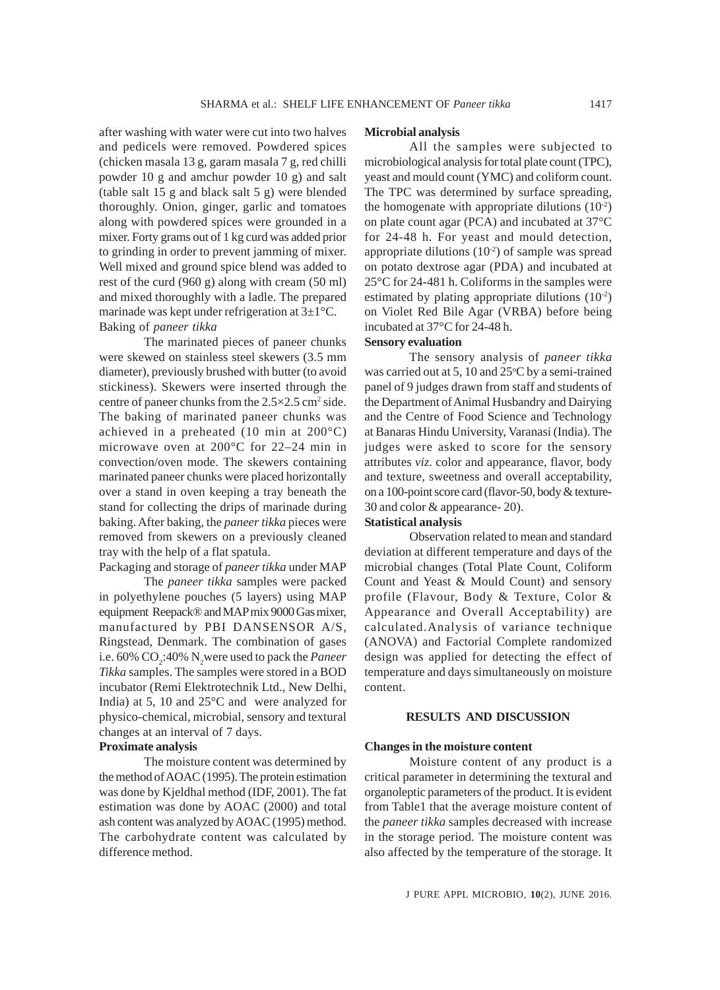after washing with water were cut into two halves and pedicels were removed. Powdered spices (chicken masala 13 g, garam masala 7 g, red chilli powder 10 g and amchur powder 10 g) and salt (table salt 15 g and black salt 5 g) were blended thoroughly. Onion, ginger, garlic and tomatoes along with powdered spices were grounded in a mixer. Forty grams out of 1 kg curd was added prior to grinding in order to prevent jamming of mixer. Well mixed and ground spice blend was added to rest of the curd (960 g) along with cream (50 ml) and mixed thoroughly with a ladle. The prepared marinade was kept under refrigeration at 3±1°C. Baking of *paneer tikka*

The marinated pieces of paneer chunks were skewed on stainless steel skewers (3.5 mm diameter), previously brushed with butter (to avoid stickiness). Skewers were inserted through the centre of paneer chunks from the  $2.5 \times 2.5$  cm<sup>2</sup> side. The baking of marinated paneer chunks was achieved in a preheated (10 min at 200°C) microwave oven at 200°C for 22–24 min in convection/oven mode. The skewers containing marinated paneer chunks were placed horizontally over a stand in oven keeping a tray beneath the stand for collecting the drips of marinade during baking. After baking, the *paneer tikka* pieces were removed from skewers on a previously cleaned tray with the help of a flat spatula.

# Packaging and storage of *paneer tikka* under MAP

The *paneer tikka* samples were packed in polyethylene pouches (5 layers) using MAP equipment Reepack® and MAP mix 9000 Gas mixer, manufactured by PBI DANSENSOR A/S, Ringstead, Denmark. The combination of gases i.e. 60% CO<sub>2</sub>:40% N<sub>2</sub> were used to pack the *Paneer Tikka* samples. The samples were stored in a BOD incubator (Remi Elektrotechnik Ltd., New Delhi, India) at 5, 10 and 25°C and were analyzed for physico-chemical, microbial, sensory and textural changes at an interval of 7 days.

## **Proximate analysis**

The moisture content was determined by the method of AOAC (1995). The protein estimation was done by Kjeldhal method (IDF, 2001). The fat estimation was done by AOAC (2000) and total ash content was analyzed by AOAC (1995) method. The carbohydrate content was calculated by difference method.

#### **Microbial analysis**

All the samples were subjected to microbiological analysis for total plate count (TPC), yeast and mould count (YMC) and coliform count. The TPC was determined by surface spreading, the homogenate with appropriate dilutions  $(10^{-2})$ on plate count agar (PCA) and incubated at 37°C for 24-48 h. For yeast and mould detection, appropriate dilutions  $(10<sup>-2</sup>)$  of sample was spread on potato dextrose agar (PDA) and incubated at 25°C for 24-481 h. Coliforms in the samples were estimated by plating appropriate dilutions  $(10^{-2})$ on Violet Red Bile Agar (VRBA) before being incubated at 37°C for 24-48 h.

# **Sensory evaluation**

The sensory analysis of *paneer tikka* was carried out at 5, 10 and 25°C by a semi-trained panel of 9 judges drawn from staff and students of the Department of Animal Husbandry and Dairying and the Centre of Food Science and Technology at Banaras Hindu University, Varanasi (India). The judges were asked to score for the sensory attributes *viz*. color and appearance, flavor, body and texture, sweetness and overall acceptability, on a 100-point score card (flavor-50, body & texture-30 and color & appearance- 20).

# **Statistical analysis**

Observation related to mean and standard deviation at different temperature and days of the microbial changes (Total Plate Count, Coliform Count and Yeast & Mould Count) and sensory profile (Flavour, Body & Texture, Color & Appearance and Overall Acceptability) are calculated.Analysis of variance technique (ANOVA) and Factorial Complete randomized design was applied for detecting the effect of temperature and days simultaneously on moisture content.

## **RESULTS AND DISCUSSION**

#### **Changes in the moisture content**

Moisture content of any product is a critical parameter in determining the textural and organoleptic parameters of the product. It is evident from Table1 that the average moisture content of the *paneer tikka* samples decreased with increase in the storage period. The moisture content was also affected by the temperature of the storage. It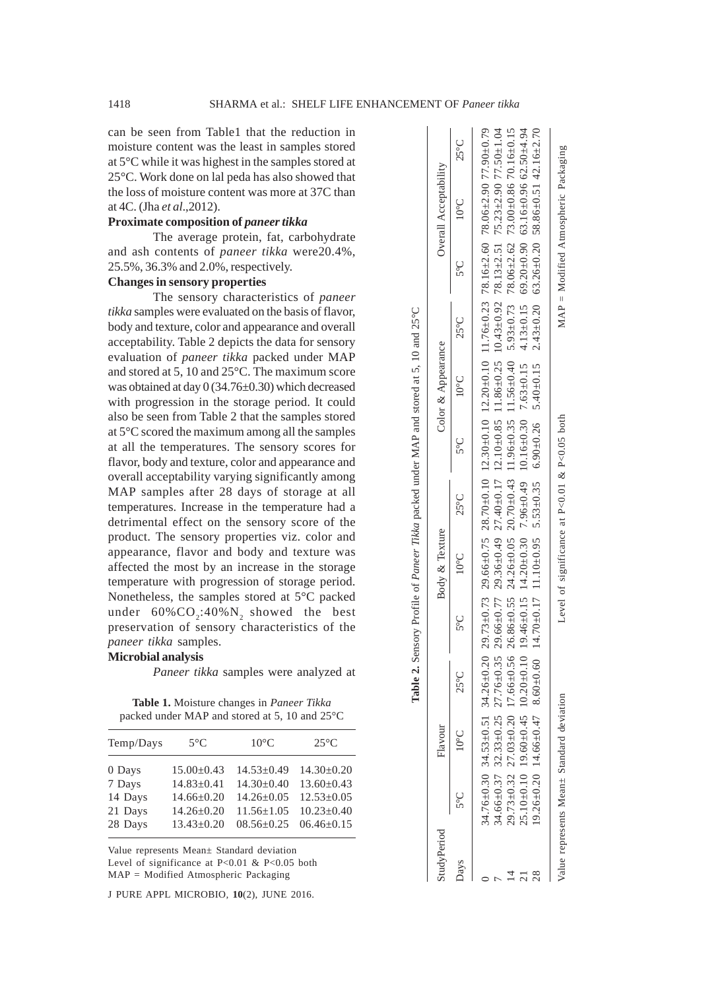can be seen from Table1 that the reduction in moisture content was the least in samples stored at 5°C while it was highest in the samples stored at 25°C. Work done on lal peda has also showed that the loss of moisture content was more at 37C than at 4C. (Jha *et al*.,2012).

## **Proximate composition of** *paneer tikka*

The average protein, fat, carbohydrate and ash contents of *paneer tikka* were20.4%, 25.5%, 36.3% and 2.0%, respectively.

## **Changes in sensory properties**

The sensory characteristics of *paneer tikka* samples were evaluated on the basis of flavor, body and texture, color and appearance and overall acceptability. Table 2 depicts the data for sensory evaluation of *paneer tikka* packed under MAP and stored at 5, 10 and 25°C. The maximum score was obtained at day 0 (34.76±0.30) which decreased with progression in the storage period. It could also be seen from Table 2 that the samples stored at 5°C scored the maximum among all the samples at all the temperatures. The sensory scores for flavor, body and texture, color and appearance and overall acceptability varying significantly among MAP samples after 28 days of storage at all temperatures. Increase in the temperature had a detrimental effect on the sensory score of the product. The sensory properties viz. color and appearance, flavor and body and texture was affected the most by an increase in the storage temperature with progression of storage period. Nonetheless, the samples stored at 5°C packed under  $60\% \text{CO}_2$ :40% $\text{N}_2$  showed the best preservation of sensory characteristics of the *paneer tikka* samples.

#### **Microbial analysis**

*Paneer tikka* samples were analyzed at

**Table 1.** Moisture changes in *Paneer Tikka* packed under MAP and stored at 5, 10 and 25°C

| Temp/Days | $5^{\circ}$ C    | $10^{\circ}$ C   | $25^{\circ}$ C   |
|-----------|------------------|------------------|------------------|
| 0 Days    | $15.00 \pm 0.43$ | $14.53+0.49$     | $14.30 \pm 0.20$ |
| 7 Days    | $14.83 \pm 0.41$ | $14.30 \pm 0.40$ | $13.60 \pm 0.43$ |
| 14 Days   | $14.66 \pm 0.20$ | $14.26 + 0.05$   | $12.53 \pm 0.05$ |
| 21 Days   | $14.26 \pm 0.20$ | $11.56 + 1.05$   | $10.23 \pm 0.40$ |
| 28 Days   | $13.43 \pm 0.20$ | $08.56 \pm 0.25$ | $06.46 \pm 0.15$ |
|           |                  |                  |                  |

Value represents Mean± Standard deviation Level of significance at P<0.01 & P<0.05 both MAP = Modified Atmospheric Packaging

J PURE APPL MICROBIO*,* **10**(2), JUNE 2016.

| studyPeriod |      | Flavour        |                |     | Body & Texture |                | Color & Appearance           |                | Overall Acceptability                                                                                                                                                                             |                |
|-------------|------|----------------|----------------|-----|----------------|----------------|------------------------------|----------------|---------------------------------------------------------------------------------------------------------------------------------------------------------------------------------------------------|----------------|
|             | ပ္ပင | $10^{\circ}$ C | $25^{\circ}$ C | າຍໃ | $10^{\circ}$ C | $25^{\circ}$ C | $5^{\circ}$ C $10^{\circ}$ C | $25^{\circ}$ C | $5^{\circ}$ C $10^{\circ}$ C                                                                                                                                                                      | $25^{\circ}$ C |
|             |      |                |                |     |                |                |                              |                | 34.76±0.30 34.25±0.51 34.26±0.20 29.73±0.73 29.66±0.75 28.70±0.10 12.30±0.10 12.20±0.10 11.76±0.23 78.16±2.60 78.06±2.90 77.90±0.79                                                               |                |
|             |      |                |                |     |                |                |                              |                | 44.66±0.37 32.33±0.25 27.76±0.35 29.66±0.77 29.36±0.49 27.40±0.17 12.10±0.85 11.86±0.25 10.43±0.92 78.13±2.51 75.23±2.90 77.50±1.04                                                               |                |
|             |      |                |                |     |                |                |                              |                | 29.73±0.32 27.03±0.20 17.66±0.56 26.86±0.55 24.26±0.32 20.70±0.43 11.56±0.35 11.56±0.40 5.93±0.73 78.06±2.62 73.00±0.86 70.16±0.15                                                                |                |
|             |      |                |                |     |                |                |                              |                | $25.10+0.10$ ,60+0.45 10.60-0-0.10 10.46+0.15 146+0.30 10.60-0.30 10.50-0.30 140.30 14.3+0.15 4.13+0.15 4.13+0.15 69.20-0.90 63.10+0.306 62.50+4.94                                               |                |
|             |      |                |                |     |                |                |                              |                | $(9.26\pm0.20)$ $(4.66\pm0.47)$ $(8.60\pm0.60)$ $(1.470\pm0.17)$ $(1.10\pm0.96)$ $(5.3\pm0.35)$ $(5.9\pm0.26)$ $(5.43\pm0.20)$ $(5.43\pm0.20)$ $(5.26\pm0.20)$ $(5.886\pm0.51)$ $(4.2.16\pm2.70)$ |                |
|             |      |                |                |     |                |                |                              |                |                                                                                                                                                                                                   |                |

Value represents Mean± Standard deviation Level of significance at P<0.01 & P<0.05 both MAP = Modified Atmospheric Packaging

Level of significance at P<0.01 & P<0.05 both

alue represents Mean+ Standard deviation

 $\text{MAP} = \text{Modified Atmospheric Packaging}$ 

**Table 2.** Sensory Profile of *Paneer Tikka* packed under MAP and stored at 5, 10 and 25°C

Table 2. Sensory Profile of Paneer Tikka packed under MAP and stored at 5, 10 and 25°C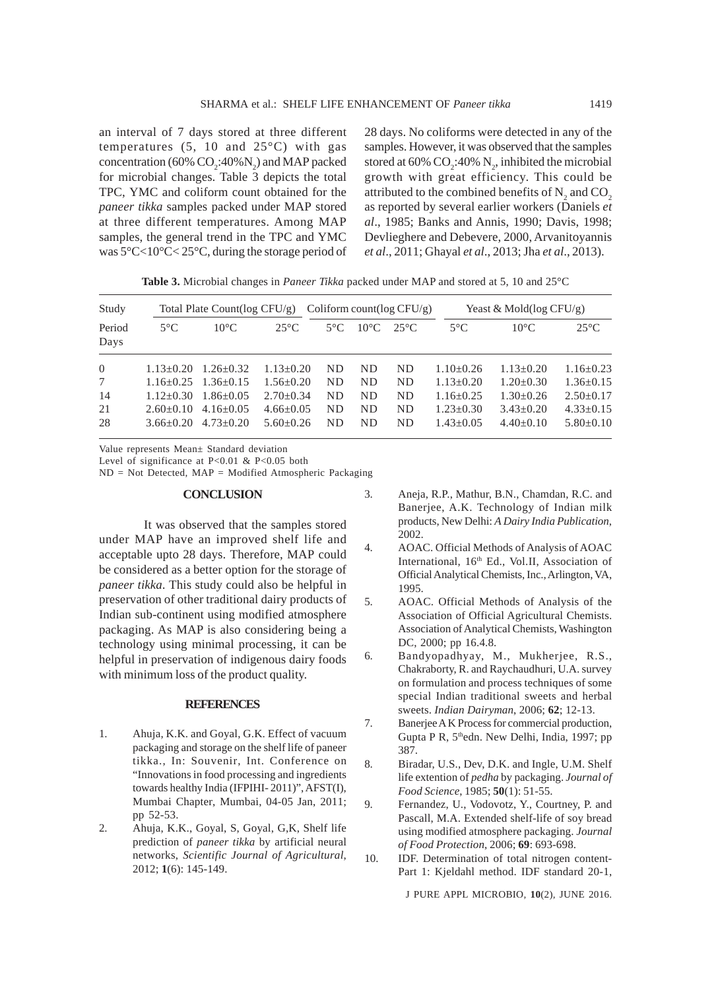an interval of 7 days stored at three different temperatures  $(5, 10 \text{ and } 25^{\circ}\text{C})$  with gas concentration (60%  $CO_2$ :40% $N_2$ ) and MAP packed for microbial changes. Table 3 depicts the total TPC, YMC and coliform count obtained for the *paneer tikka* samples packed under MAP stored at three different temperatures. Among MAP samples, the general trend in the TPC and YMC was 5°C<10°C< 25°C, during the storage period of 28 days. No coliforms were detected in any of the samples. However, it was observed that the samples stored at 60%  $CO_2$ :40%  $N_2$ , inhibited the microbial growth with great efficiency. This could be attributed to the combined benefits of  $N_2$  and  $CO_2$ as reported by several earlier workers (Daniels *et al*., 1985; Banks and Annis, 1990; Davis, 1998; Devlieghere and Debevere, 2000, Arvanitoyannis *et al*., 2011; Ghayal *et al*., 2013; Jha *et al*., 2013).

**Table 3.** Microbial changes in *Paneer Tikka* packed under MAP and stored at 5, 10 and 25°C

| Study          | Total Plate Count( $log CFU/g$ ) |                 |                | Coliform count( $log CFU/g$ ) |                |                | Yeast & Mold( $log CFU/g$ ) |                 |                 |
|----------------|----------------------------------|-----------------|----------------|-------------------------------|----------------|----------------|-----------------------------|-----------------|-----------------|
| Period<br>Days | $5^{\circ}$ C                    | $10^{\circ}$ C  | $25^{\circ}$ C | $5^{\circ}$ C                 | $10^{\circ}$ C | $25^{\circ}$ C | $5^{\circ}$ C               | $10^{\circ}$ C  | $25^{\circ}$ C  |
| $\overline{0}$ | $1.13 + 0.20$                    | $1.26 + 0.32$   | $1.13 + 0.20$  | ND.                           | ND             | ND.            | $1.10+0.26$                 | $1.13 + 0.20$   | $1.16 + 0.23$   |
| 7              | $1.16 + 0.25$                    | $1.36 \pm 0.15$ | $1.56 + 0.20$  | ND.                           | ND             | ND             | $1.13 + 0.20$               | $1.20 \pm 0.30$ | $1.36 \pm 0.15$ |
| 14             | $1.12 + 0.30$                    | $1.86 + 0.05$   | $2.70+0.34$    | ND.                           | ND             | ND.            | $1.16 \pm 0.25$             | $1.30+0.26$     | $2.50+0.17$     |
| 21             | $2.60+0.10$                      | $4.16 + 0.05$   | $4.66 + 0.05$  | <b>ND</b>                     | <b>ND</b>      | <b>ND</b>      | $1.23 + 0.30$               | $3.43 + 0.20$   | $4.33+0.15$     |
| 28             | $3.66 + 0.20$                    | $4.73 + 0.20$   | $5.60 + 0.26$  | ND.                           | ND             | ND             | $1.43 + 0.05$               | $4.40+0.10$     | $5.80+0.10$     |

Value represents Mean± Standard deviation

Level of significance at P<0.01 & P<0.05 both

ND = Not Detected, MAP = Modified Atmospheric Packaging

#### **CONCLUSION**

It was observed that the samples stored under MAP have an improved shelf life and acceptable upto 28 days. Therefore, MAP could be considered as a better option for the storage of *paneer tikka*. This study could also be helpful in preservation of other traditional dairy products of Indian sub-continent using modified atmosphere packaging. As MAP is also considering being a technology using minimal processing, it can be helpful in preservation of indigenous dairy foods with minimum loss of the product quality.

#### **REFERENCES**

- 1. Ahuja, K.K. and Goyal, G.K. Effect of vacuum packaging and storage on the shelf life of paneer tikka., In: Souvenir, Int. Conference on "Innovations in food processing and ingredients towards healthy India (IFPIHI- 2011)", AFST(I), Mumbai Chapter, Mumbai, 04-05 Jan, 2011; pp 52-53.
- 2. Ahuja, K.K., Goyal, S, Goyal, G,K, Shelf life prediction of *paneer tikka* by artificial neural networks, *Scientific Journal of Agricultural*, 2012; **1**(6): 145-149.
- 3. Aneja, R.P., Mathur, B.N., Chamdan, R.C. and Banerjee, A.K. Technology of Indian milk products, New Delhi: *A Dairy India Publication*, 2002.
- 4. AOAC. Official Methods of Analysis of AOAC International, 16<sup>th</sup> Ed., Vol.II, Association of Official Analytical Chemists, Inc., Arlington, VA, 1995.
- 5. AOAC. Official Methods of Analysis of the Association of Official Agricultural Chemists. Association of Analytical Chemists, Washington DC, 2000; pp 16.4.8.
- 6. Bandyopadhyay, M., Mukherjee, R.S., Chakraborty, R. and Raychaudhuri, U.A. survey on formulation and process techniques of some special Indian traditional sweets and herbal sweets. *Indian Dairyman*, 2006; **62**; 12-13.
- 7. Banerjee A K Process for commercial production, Gupta P R, 5<sup>th</sup>edn. New Delhi, India, 1997; pp 387.
- 8. Biradar, U.S., Dev, D.K. and Ingle, U.M. Shelf life extention of *pedha* by packaging. *Journal of Food Science*, 1985; **50**(1): 51-55.
- 9. Fernandez, U., Vodovotz, Y., Courtney, P. and Pascall, M.A. Extended shelf-life of soy bread using modified atmosphere packaging. *Journal of Food Protection*, 2006; **69**: 693-698.
- 10. IDF. Determination of total nitrogen content-Part 1: Kjeldahl method. IDF standard 20-1,

J PURE APPL MICROBIO*,* **10**(2), JUNE 2016.